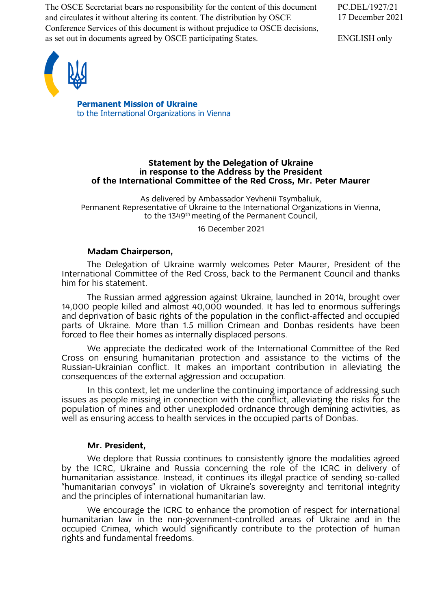The OSCE Secretariat bears no responsibility for the content of this document and circulates it without altering its content. The distribution by OSCE Conference Services of this document is without prejudice to OSCE decisions, as set out in documents agreed by OSCE participating States.

PC.DEL/1927/21 17 December 2021

ENGLISH only



**Permanent Mission of Ukraine** to the International Organizations in Vienna

### **Statement by the Delegation of Ukraine in response to the Address by the President of the International Committee of the Red Cross, Mr. Peter Maurer**

As delivered by Ambassador Yevhenii Tsymbaliuk, Permanent Representative of Ukraine to the International Organizations in Vienna, to the 1349<sup>th</sup> meeting of the Permanent Council,

16 December 2021

# **Madam Chairperson,**

The Delegation of Ukraine warmly welcomes Peter Maurer, President of the International Committee of the Red Cross, back to the Permanent Council and thanks him for his statement.

The Russian armed aggression against Ukraine, launched in 2014, brought over 14,000 people killed and almost 40,000 wounded. It has led to enormous sufferings and deprivation of basic rights of the population in the conflict-affected and occupied parts of Ukraine. More than 1.5 million Crimean and Donbas residents have been forced to flee their homes as internally displaced persons.

We appreciate the dedicated work of the International Committee of the Red Cross on ensuring humanitarian protection and assistance to the victims of the Russian-Ukrainian conflict. It makes an important contribution in alleviating the consequences of the external aggression and occupation.

In this context, let me underline the continuing importance of addressing such issues as people missing in connection with the conflict, alleviating the risks for the population of mines and other unexploded ordnance through demining activities, as well as ensuring access to health services in the occupied parts of Donbas.

# **Mr. President,**

We deplore that Russia continues to consistently ignore the modalities agreed by the ICRC, Ukraine and Russia concerning the role of the ICRC in delivery of humanitarian assistance. Instead, it continues its illegal practice of sending so-called "humanitarian convoys" in violation of Ukraine's sovereignty and territorial integrity and the principles of international humanitarian law.

We encourage the ICRC to enhance the promotion of respect for international humanitarian law in the non-government-controlled areas of Ukraine and in the occupied Crimea, which would significantly contribute to the protection of human rights and fundamental freedoms.